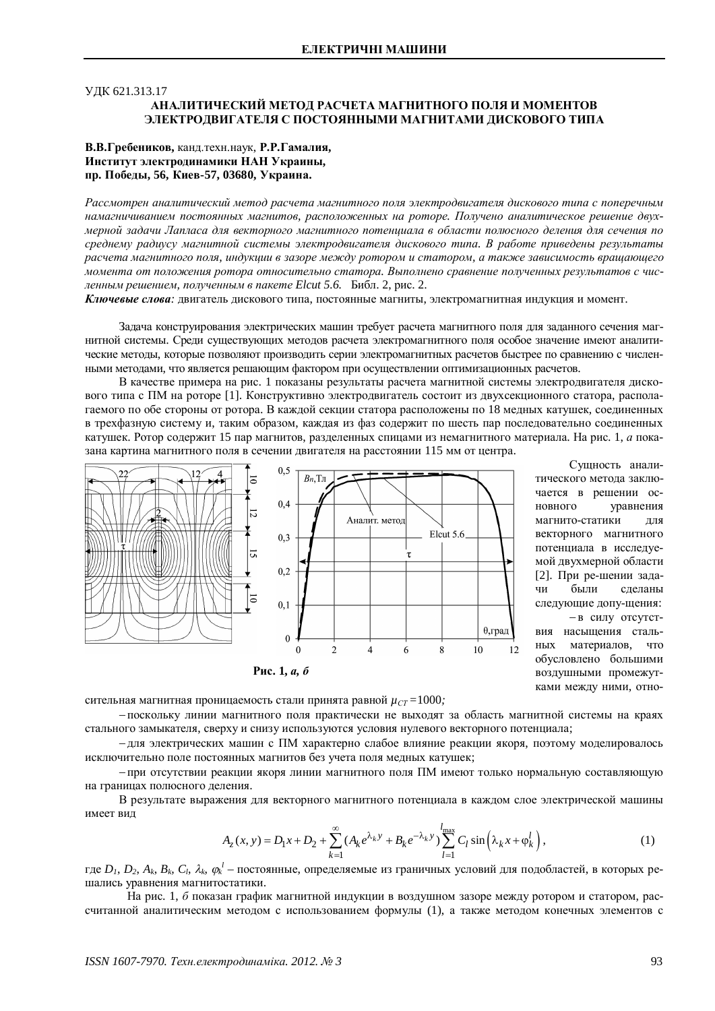# ɍȾɄ 621.313.17 АНАЛИТИЧЕСКИЙ МЕТОД РАСЧЕТА МАГНИТНОГО ПОЛЯ И МОМЕНТОВ ЭЛЕКТРОЛВИГАТЕЛЯ С ПОСТОЯННЫМИ МАГНИТАМИ ЛИСКОВОГО ТИПА

## В.В.Гребеников, канд.техн.наук, Р.Р.Гамалия, Институт электродинамики НАН Украины, пр. Победы, 56, Киев-57, 03680, Украина.

Рассмотрен аналитический метод расчета магнитного поля электродвигателя дискового типа с поперечным намагничиванием постоянных магнитов, расположенных на роторе. Получено аналитическое решение двухмерной задачи Лапласа для векторного магнитного потенциала в области полюсного деления для сечения по среднему радиусу магнитной системы электродвигателя дискового типа. В работе приведены результаты расчета магнитного поля, индукции в зазоре между ротором и статором, а также зависимость вращающего момента от положения ротора относительно статора. Выполнено сравнение полученных результатов с чисденным решением, полученным в пакете Elcut 5.6. Библ. 2, рис. 2.

Ключевые слова: двигатель дискового типа, постоянные магниты, электромагнитная индукция и момент.

Задача конструирования электрических машин требует расчета магнитного поля для заданного сечения магнитной системы. Срели существующих метолов расчета электромагнитного поля особое значение имеют аналитические методы, которые позволяют производить серии электромагнитных расчетов быстрее по сравнению с численными методами, что является решающим фактором при осуществлении оптимизационных расчетов.

В качестве примера на рис. 1 показаны результаты расчета магнитной системы электродвигателя дискового типа с ПМ на роторе [1]. Конструктивно электродвигатель состоит из двухсекционного статора, располагаемого по обе стороны от ротора. В каждой секции статора расположены по 18 медных катушек, соединенных в трехфазную систему и, таким образом, каждая из фаз содержит по шесть пар последовательно соединенных катушек. Ротор содержит 15 пар магнитов, разделенных спицами из немагнитного материала. На рис. 1, *а* показана картина магнитного поля в сечении двигателя на расстоянии 115 мм от центра.



Сущность аналитического метода заключается в решении основного уравнения магнито-статики для векторного магнитного потенциала в исследуемой двухмерной области  $[2]$ . При ре-шении задачи были слеланы следующие допу-щения: - в силу отсутствия насыщения стальных материалов, что обусловлено большими воздушными промежутками между ними, отно-

сительная магнитная проницаемость стали принята равной  $\mu_{CT} = 1000$ ;

- поскольку линии магнитного поля практически не выхолят за область магнитной системы на краях стального замыкателя, сверху и снизу используются условия нулевого векторного потенциала;

- для электрических машин с ПМ характерно слабое влияние реакции якоря, поэтому моделировалось исключительно поле постоянных магнитов без учета поля мелных катушек:

- при отсутствии реакции якоря линии магнитного поля ПМ имеют только нормальную составляющую на границах полюсного леления.

В результате выражения для векторного магнитного потенциала в каждом слое электрической машины имеет вид

$$
A_z(x, y) = D_1 x + D_2 + \sum_{k=1}^{\infty} (A_k e^{\lambda_k y} + B_k e^{-\lambda_k y}) \sum_{l=1}^{l_{\text{max}}} C_l \sin\left(\lambda_k x + \varphi_k^l\right),\tag{1}
$$

где  $D_I$ ,  $D_2$ ,  $A_k$ ,  $B_k$ ,  $C_l$ ,  $\lambda_k$ ,  $\varphi_k^l$  – постоянные, определяемые из граничных условий для подобластей, в которых решались уравнения магнитостатики.

На рис. 1, б показан график магнитной индукции в воздушном зазоре между ротором и статором, рассчитанной аналитическим метолом с использованием формулы (1), а также метолом конечных элементов с